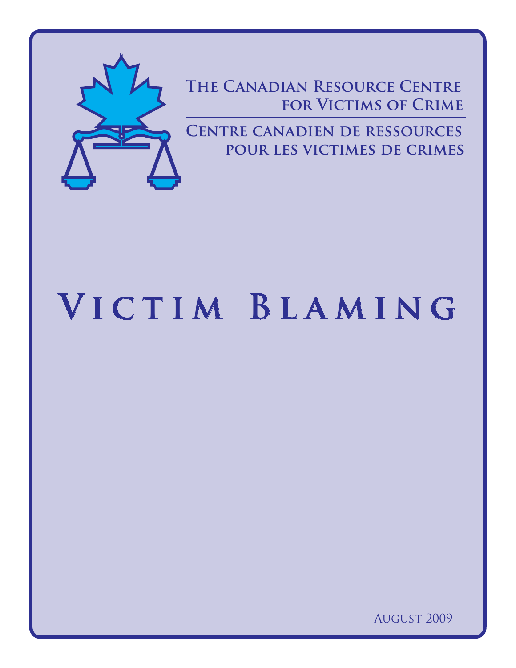

**The Canadian Resource Centre FOR VICTIMS OF CRIME** 

**Centre canadien de ressources pour les victimes de crimes**

# **Victim Blaming**

August 2009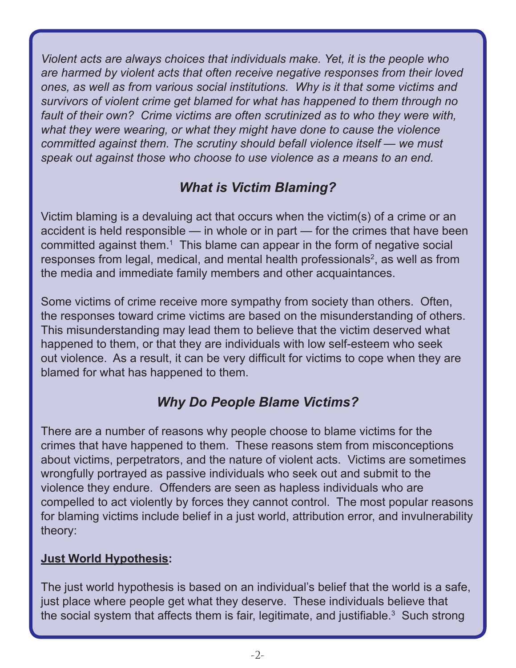*Violent acts are always choices that individuals make. Yet, it is the people who are harmed by violent acts that often receive negative responses from their loved ones, as well as from various social institutions. Why is it that some victims and survivors of violent crime get blamed for what has happened to them through no fault of their own? Crime victims are often scrutinized as to who they were with, what they were wearing, or what they might have done to cause the violence committed against them. The scrutiny should befall violence itself — we must speak out against those who choose to use violence as a means to an end.*

# *What is Victim Blaming?*

Victim blaming is a devaluing act that occurs when the victim(s) of a crime or an accident is held responsible — in whole or in part — for the crimes that have been committed against them.<sup>1</sup> This blame can appear in the form of negative social responses from legal, medical, and mental health professionals<sup>2</sup>, as well as from the media and immediate family members and other acquaintances.

Some victims of crime receive more sympathy from society than others. Often, the responses toward crime victims are based on the misunderstanding of others. This misunderstanding may lead them to believe that the victim deserved what happened to them, or that they are individuals with low self-esteem who seek out violence. As a result, it can be very difficult for victims to cope when they are blamed for what has happened to them.

# *Why Do People Blame Victims?*

There are a number of reasons why people choose to blame victims for the crimes that have happened to them. These reasons stem from misconceptions about victims, perpetrators, and the nature of violent acts. Victims are sometimes wrongfully portrayed as passive individuals who seek out and submit to the violence they endure. Offenders are seen as hapless individuals who are compelled to act violently by forces they cannot control. The most popular reasons for blaming victims include belief in a just world, attribution error, and invulnerability theory:

#### **Just World Hypothesis:**

The just world hypothesis is based on an individual's belief that the world is a safe, just place where people get what they deserve. These individuals believe that the social system that affects them is fair, legitimate, and justifiable. $3$  Such strong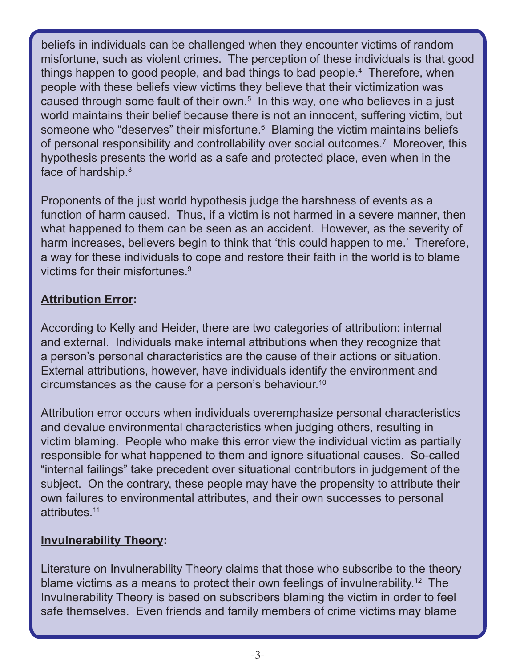beliefs in individuals can be challenged when they encounter victims of random misfortune, such as violent crimes. The perception of these individuals is that good things happen to good people, and bad things to bad people.4 Therefore, when people with these beliefs view victims they believe that their victimization was caused through some fault of their own.<sup>5</sup> In this way, one who believes in a just world maintains their belief because there is not an innocent, suffering victim, but someone who "deserves" their misfortune.<sup>6</sup> Blaming the victim maintains beliefs of personal responsibility and controllability over social outcomes.7 Moreover, this hypothesis presents the world as a safe and protected place, even when in the face of hardship.<sup>8</sup>

Proponents of the just world hypothesis judge the harshness of events as a function of harm caused. Thus, if a victim is not harmed in a severe manner, then what happened to them can be seen as an accident. However, as the severity of harm increases, believers begin to think that 'this could happen to me.' Therefore, a way for these individuals to cope and restore their faith in the world is to blame victims for their misfortunes.<sup>9</sup>

#### **Attribution Error:**

According to Kelly and Heider, there are two categories of attribution: internal and external. Individuals make internal attributions when they recognize that a person's personal characteristics are the cause of their actions or situation. External attributions, however, have individuals identify the environment and circumstances as the cause for a person's behaviour.10

Attribution error occurs when individuals overemphasize personal characteristics and devalue environmental characteristics when judging others, resulting in victim blaming. People who make this error view the individual victim as partially responsible for what happened to them and ignore situational causes. So-called "internal failings" take precedent over situational contributors in judgement of the subject. On the contrary, these people may have the propensity to attribute their own failures to environmental attributes, and their own successes to personal attributes.11

## **Invulnerability Theory:**

Literature on Invulnerability Theory claims that those who subscribe to the theory blame victims as a means to protect their own feelings of invulnerability.<sup>12</sup> The Invulnerability Theory is based on subscribers blaming the victim in order to feel safe themselves. Even friends and family members of crime victims may blame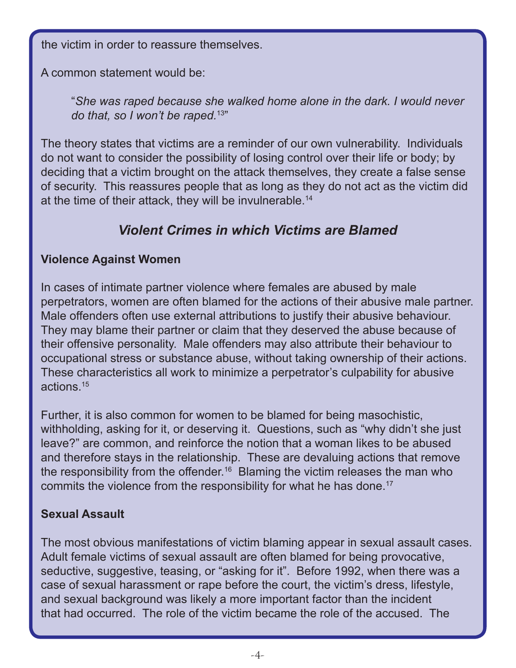the victim in order to reassure themselves.

A common statement would be:

"*She was raped because she walked home alone in the dark. I would never do that, so I won't be raped.*13"

The theory states that victims are a reminder of our own vulnerability. Individuals do not want to consider the possibility of losing control over their life or body; by deciding that a victim brought on the attack themselves, they create a false sense of security. This reassures people that as long as they do not act as the victim did at the time of their attack, they will be invulnerable.<sup>14</sup>

# *Violent Crimes in which Victims are Blamed*

## **Violence Against Women**

In cases of intimate partner violence where females are abused by male perpetrators, women are often blamed for the actions of their abusive male partner. Male offenders often use external attributions to justify their abusive behaviour. They may blame their partner or claim that they deserved the abuse because of their offensive personality. Male offenders may also attribute their behaviour to occupational stress or substance abuse, without taking ownership of their actions. These characteristics all work to minimize a perpetrator's culpability for abusive actions.15

Further, it is also common for women to be blamed for being masochistic, withholding, asking for it, or deserving it. Questions, such as "why didn't she just leave?" are common, and reinforce the notion that a woman likes to be abused and therefore stays in the relationship. These are devaluing actions that remove the responsibility from the offender.16 Blaming the victim releases the man who commits the violence from the responsibility for what he has done.<sup>17</sup>

## **Sexual Assault**

The most obvious manifestations of victim blaming appear in sexual assault cases. Adult female victims of sexual assault are often blamed for being provocative, seductive, suggestive, teasing, or "asking for it". Before 1992, when there was a case of sexual harassment or rape before the court, the victim's dress, lifestyle, and sexual background was likely a more important factor than the incident that had occurred. The role of the victim became the role of the accused. The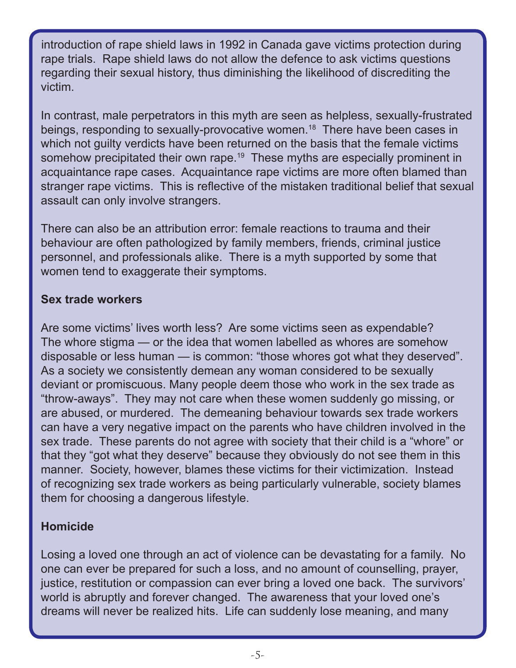introduction of rape shield laws in 1992 in Canada gave victims protection during rape trials. Rape shield laws do not allow the defence to ask victims questions regarding their sexual history, thus diminishing the likelihood of discrediting the victim.

In contrast, male perpetrators in this myth are seen as helpless, sexually-frustrated beings, responding to sexually-provocative women.<sup>18</sup> There have been cases in which not guilty verdicts have been returned on the basis that the female victims somehow precipitated their own rape.<sup>19</sup> These myths are especially prominent in acquaintance rape cases. Acquaintance rape victims are more often blamed than stranger rape victims. This is reflective of the mistaken traditional belief that sexual assault can only involve strangers.

There can also be an attribution error: female reactions to trauma and their behaviour are often pathologized by family members, friends, criminal justice personnel, and professionals alike. There is a myth supported by some that women tend to exaggerate their symptoms.

#### **Sex trade workers**

Are some victims' lives worth less? Are some victims seen as expendable? The whore stigma — or the idea that women labelled as whores are somehow disposable or less human — is common: "those whores got what they deserved". As a society we consistently demean any woman considered to be sexually deviant or promiscuous. Many people deem those who work in the sex trade as "throw-aways". They may not care when these women suddenly go missing, or are abused, or murdered. The demeaning behaviour towards sex trade workers can have a very negative impact on the parents who have children involved in the sex trade. These parents do not agree with society that their child is a "whore" or that they "got what they deserve" because they obviously do not see them in this manner. Society, however, blames these victims for their victimization. Instead of recognizing sex trade workers as being particularly vulnerable, society blames them for choosing a dangerous lifestyle.

#### **Homicide**

Losing a loved one through an act of violence can be devastating for a family. No one can ever be prepared for such a loss, and no amount of counselling, prayer, justice, restitution or compassion can ever bring a loved one back. The survivors' world is abruptly and forever changed. The awareness that your loved one's dreams will never be realized hits. Life can suddenly lose meaning, and many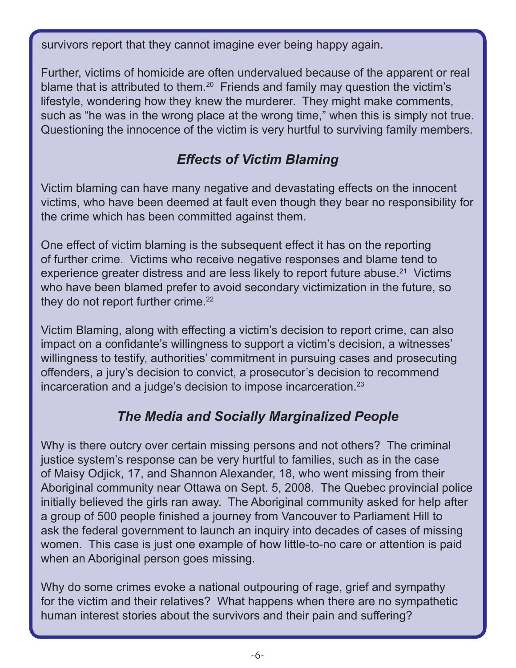survivors report that they cannot imagine ever being happy again.

Further, victims of homicide are often undervalued because of the apparent or real blame that is attributed to them.<sup>20</sup> Friends and family may question the victim's lifestyle, wondering how they knew the murderer. They might make comments, such as "he was in the wrong place at the wrong time," when this is simply not true. Questioning the innocence of the victim is very hurtful to surviving family members.

# *Effects of Victim Blaming*

Victim blaming can have many negative and devastating effects on the innocent victims, who have been deemed at fault even though they bear no responsibility for the crime which has been committed against them.

One effect of victim blaming is the subsequent effect it has on the reporting of further crime. Victims who receive negative responses and blame tend to experience greater distress and are less likely to report future abuse.<sup>21</sup> Victims who have been blamed prefer to avoid secondary victimization in the future, so they do not report further crime. $22$ 

Victim Blaming, along with effecting a victim's decision to report crime, can also impact on a confidante's willingness to support a victim's decision, a witnesses' willingness to testify, authorities' commitment in pursuing cases and prosecuting offenders, a jury's decision to convict, a prosecutor's decision to recommend incarceration and a judge's decision to impose incarceration.<sup>23</sup>

# *The Media and Socially Marginalized People*

Why is there outcry over certain missing persons and not others? The criminal justice system's response can be very hurtful to families, such as in the case of Maisy Odjick, 17, and Shannon Alexander, 18, who went missing from their Aboriginal community near Ottawa on Sept. 5, 2008. The Quebec provincial police initially believed the girls ran away. The Aboriginal community asked for help after a group of 500 people finished a journey from Vancouver to Parliament Hill to ask the federal government to launch an inquiry into decades of cases of missing women. This case is just one example of how little-to-no care or attention is paid when an Aboriginal person goes missing.

Why do some crimes evoke a national outpouring of rage, grief and sympathy for the victim and their relatives? What happens when there are no sympathetic human interest stories about the survivors and their pain and suffering?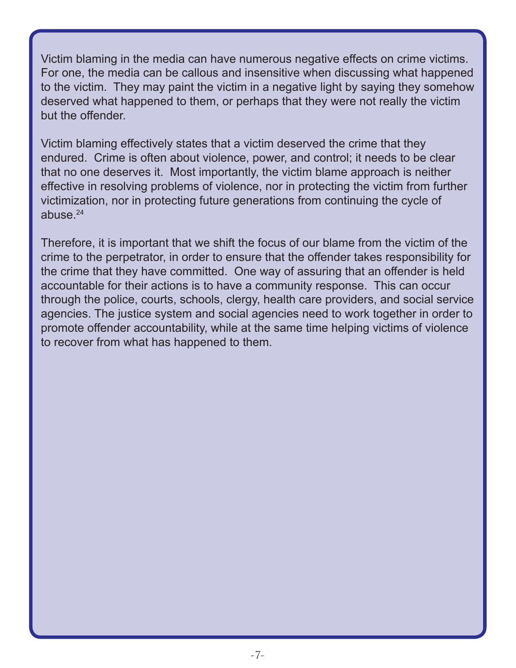Victim blaming in the media can have numerous negative effects on crime victims. For one, the media can be callous and insensitive when discussing what happened to the victim. They may paint the victim in a negative light by saying they somehow deserved what happened to them, or perhaps that they were not really the victim but the offender.

Victim blaming effectively states that a victim deserved the crime that they endured. Crime is often about violence, power, and control; it needs to be clear that no one deserves it. Most importantly, the victim blame approach is neither effective in resolving problems of violence, nor in protecting the victim from further victimization, nor in protecting future generations from continuing the cycle of abuse.24

Therefore, it is important that we shift the focus of our blame from the victim of the crime to the perpetrator, in order to ensure that the offender takes responsibility for the crime that they have committed. One way of assuring that an offender is held accountable for their actions is to have a community response. This can occur through the police, courts, schools, clergy, health care providers, and social service agencies. The justice system and social agencies need to work together in order to promote offender accountability, while at the same time helping victims of violence to recover from what has happened to them.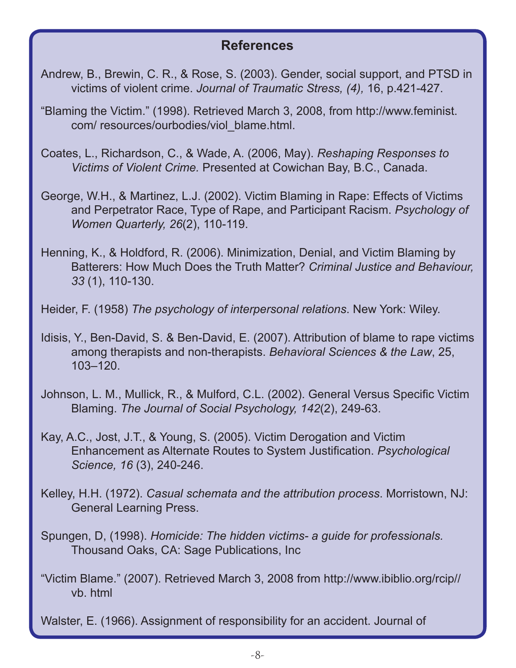## **References**

- Andrew, B., Brewin, C. R., & Rose, S. (2003). Gender, social support, and PTSD in victims of violent crime. *Journal of Traumatic Stress, (4),* 16, p.421-427.
- "Blaming the Victim." (1998). Retrieved March 3, 2008, from http://www.feminist. com/ resources/ourbodies/viol\_blame.html.
- Coates, L., Richardson, C., & Wade, A. (2006, May). *Reshaping Responses to Victims of Violent Crime.* Presented at Cowichan Bay, B.C., Canada.
- George, W.H., & Martinez, L.J. (2002). Victim Blaming in Rape: Effects of Victims and Perpetrator Race, Type of Rape, and Participant Racism. *Psychology of Women Quarterly, 26*(2), 110-119.
- Henning, K., & Holdford, R. (2006). Minimization, Denial, and Victim Blaming by Batterers: How Much Does the Truth Matter? *Criminal Justice and Behaviour, 33* (1), 110-130.
- Heider, F. (1958) *The psychology of interpersonal relations*. New York: Wiley.
- Idisis, Y., Ben-David, S. & Ben-David, E. (2007). Attribution of blame to rape victims among therapists and non-therapists. *Behavioral Sciences & the Law*, 25, 103–120.
- Johnson, L. M., Mullick, R., & Mulford, C.L. (2002). General Versus Specific Victim Blaming. *The Journal of Social Psychology, 142*(2), 249-63.
- Kay, A.C., Jost, J.T., & Young, S. (2005). Victim Derogation and Victim Enhancement as Alternate Routes to System Justification. *Psychological Science, 16* (3), 240-246.
- Kelley, H.H. (1972). *Casual schemata and the attribution process*. Morristown, NJ: General Learning Press.
- Spungen, D, (1998). *Homicide: The hidden victims- a guide for professionals.* Thousand Oaks, CA: Sage Publications, Inc
- "Victim Blame." (2007). Retrieved March 3, 2008 from http://www.ibiblio.org/rcip// vb. html

Walster, E. (1966). Assignment of responsibility for an accident. Journal of